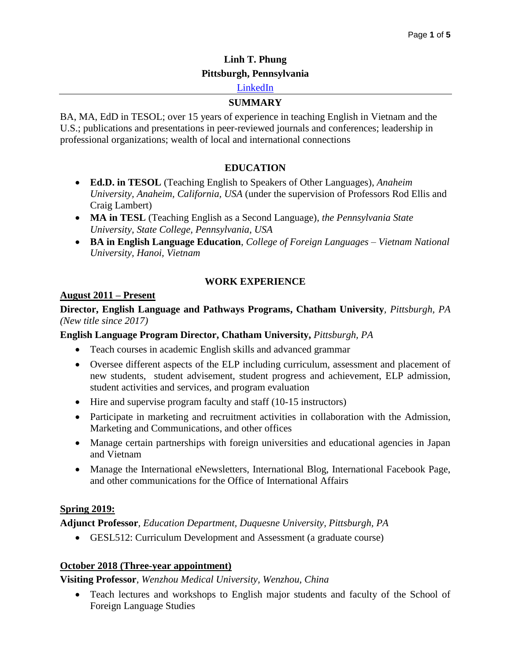# **Linh T. Phung Pittsburgh, Pennsylvania**

## [LinkedIn](https://www.linkedin.com/in/linh-phung-179697a7/)

## **SUMMARY**

BA, MA, EdD in TESOL; over 15 years of experience in teaching English in Vietnam and the U.S.; publications and presentations in peer-reviewed journals and conferences; leadership in professional organizations; wealth of local and international connections

## **EDUCATION**

- **Ed.D. in TESOL** (Teaching English to Speakers of Other Languages), *Anaheim University, Anaheim, California, USA* (under the supervision of Professors Rod Ellis and Craig Lambert)
- **MA in TESL** (Teaching English as a Second Language), *the Pennsylvania State University, State College, Pennsylvania, USA*
- **BA in English Language Education**, *College of Foreign Languages – Vietnam National University, Hanoi, Vietnam*

## **WORK EXPERIENCE**

## **August 2011 – Present**

#### **Director, English Language and Pathways Programs, Chatham University***, Pittsburgh, PA (New title since 2017)*

## **English Language Program Director, Chatham University,** *Pittsburgh, PA*

- Teach courses in academic English skills and advanced grammar
- Oversee different aspects of the ELP including curriculum, assessment and placement of new students, student advisement, student progress and achievement, ELP admission, student activities and services, and program evaluation
- Hire and supervise program faculty and staff (10-15 instructors)
- Participate in marketing and recruitment activities in collaboration with the Admission, Marketing and Communications, and other offices
- Manage certain partnerships with foreign universities and educational agencies in Japan and Vietnam
- Manage the International eNewsletters, International Blog, International Facebook Page, and other communications for the Office of International Affairs

## **Spring 2019:**

**Adjunct Professor***, Education Department, Duquesne University, Pittsburgh, PA*

GESL512: Curriculum Development and Assessment (a graduate course)

## **October 2018 (Three-year appointment)**

## **Visiting Professor**, *Wenzhou Medical University, Wenzhou, China*

 Teach lectures and workshops to English major students and faculty of the School of Foreign Language Studies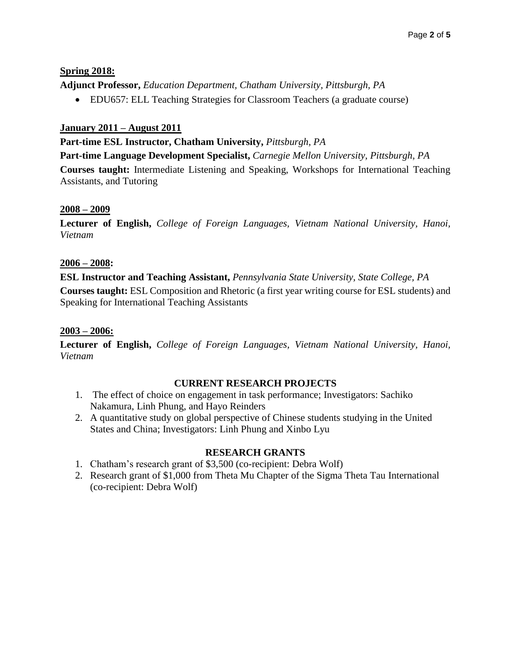## **Spring 2018:**

**Adjunct Professor,** *Education Department, Chatham University, Pittsburgh, PA*

EDU657: ELL Teaching Strategies for Classroom Teachers (a graduate course)

## **January 2011 – August 2011**

## **Part-time ESL Instructor, Chatham University,** *Pittsburgh, PA*

**Part-time Language Development Specialist,** *Carnegie Mellon University, Pittsburgh, PA*

**Courses taught:** Intermediate Listening and Speaking, Workshops for International Teaching Assistants, and Tutoring

## **2008 – 2009**

**Lecturer of English,** *College of Foreign Languages, Vietnam National University, Hanoi, Vietnam*

## **2006 – 2008:**

**ESL Instructor and Teaching Assistant,** *Pennsylvania State University, State College, PA* **Courses taught:** ESL Composition and Rhetoric (a first year writing course for ESL students) and Speaking for International Teaching Assistants

#### **2003 – 2006:**

**Lecturer of English,** *College of Foreign Languages, Vietnam National University, Hanoi, Vietnam*

#### **CURRENT RESEARCH PROJECTS**

- 1. The effect of choice on engagement in task performance; Investigators: Sachiko Nakamura, Linh Phung, and Hayo Reinders
- 2. A quantitative study on global perspective of Chinese students studying in the United States and China; Investigators: Linh Phung and Xinbo Lyu

#### **RESEARCH GRANTS**

- 1. Chatham's research grant of \$3,500 (co-recipient: Debra Wolf)
- 2. Research grant of \$1,000 from Theta Mu Chapter of the Sigma Theta Tau International (co-recipient: Debra Wolf)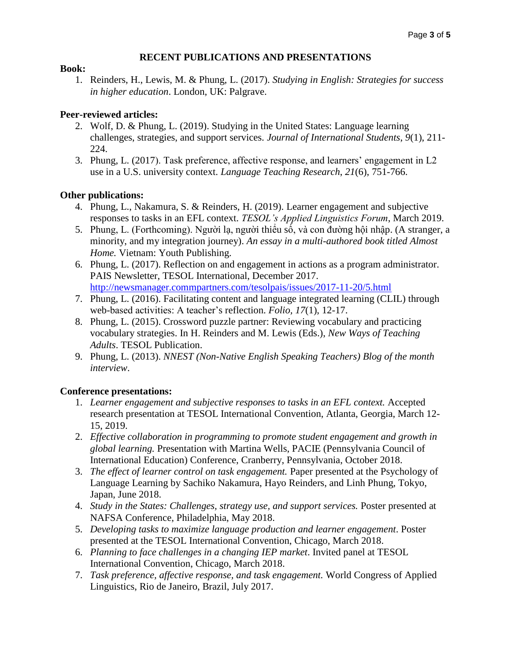#### **RECENT PUBLICATIONS AND PRESENTATIONS**

#### **Book:**

1. Reinders, H., Lewis, M. & Phung, L. (2017). *Studying in English: Strategies for success in higher education*. London, UK: Palgrave.

#### **Peer-reviewed articles:**

- 2. Wolf, D. & Phung, L. (2019). Studying in the United States: Language learning challenges, strategies, and support services. *Journal of International Students*, *9*(1), 211- 224.
- 3. Phung, L. (2017). Task preference, affective response, and learners' engagement in L2 use in a U.S. university context. *Language Teaching Research*, *21*(6), 751-766.

#### **Other publications:**

- 4. Phung, L., Nakamura, S. & Reinders, H. (2019). Learner engagement and subjective responses to tasks in an EFL context. *TESOL's Applied Linguistics Forum*, March 2019.
- 5. Phung, L. (Forthcoming). Người lạ, người thiểu số, và con đường hội nhập. (A stranger, a minority, and my integration journey). *An essay in a multi-authored book titled Almost Home.* Vietnam: Youth Publishing.
- 6. Phung, L. (2017). Reflection on and engagement in actions as a program administrator. PAIS Newsletter, TESOL International, December 2017. <http://newsmanager.commpartners.com/tesolpais/issues/2017-11-20/5.html>
- 7. Phung, L. (2016). Facilitating content and language integrated learning (CLIL) through web-based activities: A teacher's reflection. *Folio, 17*(1), 12-17.
- 8. Phung, L. (2015). Crossword puzzle partner: Reviewing vocabulary and practicing vocabulary strategies. In H. Reinders and M. Lewis (Eds.), *New Ways of Teaching Adults*. TESOL Publication.
- 9. Phung, L. (2013). *NNEST (Non-Native English Speaking Teachers) Blog of the month interview*.

#### **Conference presentations:**

- 1. *Learner engagement and subjective responses to tasks in an EFL context.* Accepted research presentation at TESOL International Convention, Atlanta, Georgia, March 12- 15, 2019.
- 2. *Effective collaboration in programming to promote student engagement and growth in global learning.* Presentation with Martina Wells, PACIE (Pennsylvania Council of International Education) Conference, Cranberry, Pennsylvania, October 2018.
- 3. *The effect of learner control on task engagement.* Paper presented at the Psychology of Language Learning by Sachiko Nakamura, Hayo Reinders, and Linh Phung, Tokyo, Japan, June 2018.
- 4. *Study in the States: Challenges, strategy use, and support services.* Poster presented at NAFSA Conference, Philadelphia, May 2018.
- 5. *Developing tasks to maximize language production and learner engagement*. Poster presented at the TESOL International Convention, Chicago, March 2018.
- 6. *Planning to face challenges in a changing IEP market*. Invited panel at TESOL International Convention, Chicago, March 2018.
- 7. *Task preference, affective response, and task engagement.* World Congress of Applied Linguistics, Rio de Janeiro, Brazil, July 2017.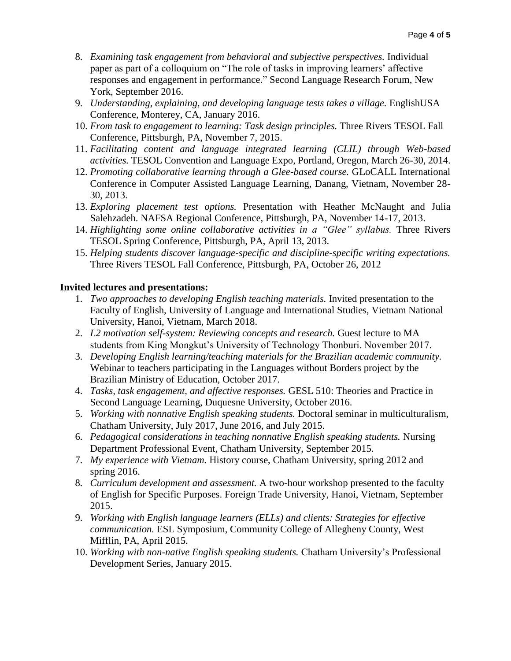- 8. *Examining task engagement from behavioral and subjective perspectives.* Individual paper as part of a colloquium on "The role of tasks in improving learners' affective responses and engagement in performance." Second Language Research Forum, New York, September 2016.
- 9. *Understanding, explaining, and developing language tests takes a village.* EnglishUSA Conference, Monterey, CA, January 2016.
- 10. *From task to engagement to learning: Task design principles.* Three Rivers TESOL Fall Conference, Pittsburgh, PA, November 7, 2015.
- 11. *Facilitating content and language integrated learning (CLIL) through Web-based activities.* TESOL Convention and Language Expo, Portland, Oregon, March 26-30, 2014.
- 12. *Promoting collaborative learning through a Glee-based course.* GLoCALL International Conference in Computer Assisted Language Learning, Danang, Vietnam, November 28- 30, 2013.
- 13. *Exploring placement test options.* Presentation with Heather McNaught and Julia Salehzadeh. NAFSA Regional Conference, Pittsburgh, PA, November 14-17, 2013.
- 14. *Highlighting some online collaborative activities in a "Glee" syllabus.* Three Rivers TESOL Spring Conference, Pittsburgh, PA, April 13, 2013.
- 15. *Helping students discover language-specific and discipline-specific writing expectations.* Three Rivers TESOL Fall Conference, Pittsburgh, PA, October 26, 2012

#### **Invited lectures and presentations:**

- 1. *Two approaches to developing English teaching materials.* Invited presentation to the Faculty of English, University of Language and International Studies, Vietnam National University, Hanoi, Vietnam, March 2018.
- 2. *L2 motivation self-system: Reviewing concepts and research.* Guest lecture to MA students from King Mongkut's University of Technology Thonburi. November 2017.
- 3. *Developing English learning/teaching materials for the Brazilian academic community.* Webinar to teachers participating in the Languages without Borders project by the Brazilian Ministry of Education, October 2017.
- 4. *Tasks, task engagement, and affective responses.* GESL 510: Theories and Practice in Second Language Learning, Duquesne University, October 2016.
- 5. *Working with nonnative English speaking students.* Doctoral seminar in multiculturalism, Chatham University, July 2017, June 2016, and July 2015.
- 6. *Pedagogical considerations in teaching nonnative English speaking students.* Nursing Department Professional Event, Chatham University, September 2015.
- 7. *My experience with Vietnam.* History course, Chatham University, spring 2012 and spring 2016.
- 8. *Curriculum development and assessment.* A two-hour workshop presented to the faculty of English for Specific Purposes. Foreign Trade University, Hanoi, Vietnam, September 2015.
- 9. *Working with English language learners (ELLs) and clients: Strategies for effective communication.* ESL Symposium, Community College of Allegheny County, West Mifflin, PA, April 2015.
- 10. *Working with non-native English speaking students.* Chatham University's Professional Development Series, January 2015.